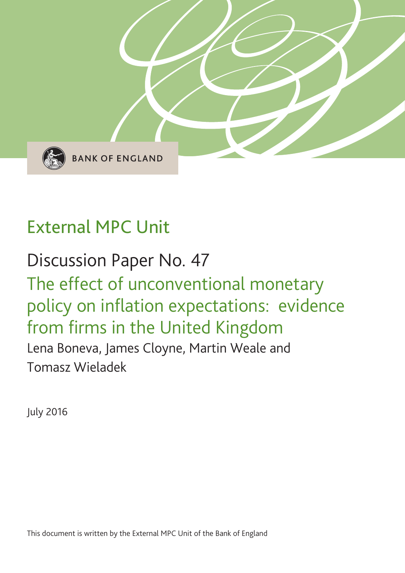

# External MPC Unit

# Discussion Paper No. 47 The effect of unconventional monetary policy on inflation expectations: evidence from firms in the United Kingdom Lena Boneva, James Cloyne, Martin Weale and Tomasz Wieladek

July 2016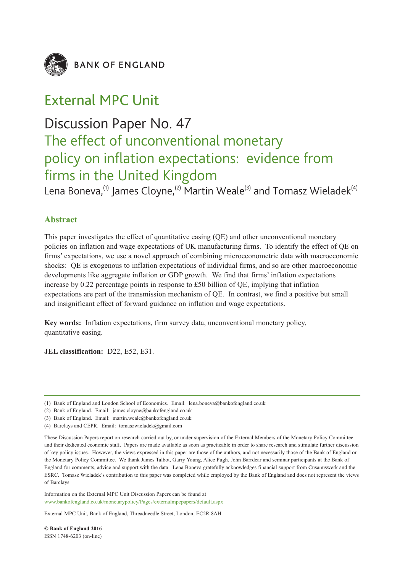

**BANK OF ENGLAND** 

## External MPC Unit

## Discussion Paper No. 47

## The effect of unconventional monetary policy on inflation expectations: evidence from firms in the United Kingdom

Lena Boneva,<sup>(1)</sup> James Cloyne,<sup>(2)</sup> Martin Weale<sup>(3)</sup> and Tomasz Wieladek<sup>(4)</sup>

#### **Abstract**

This paper investigates the effect of quantitative easing (QE) and other unconventional monetary policies on inflation and wage expectations of UK manufacturing firms. To identify the effect of QE on firms' expectations, we use a novel approach of combining microeconometric data with macroeconomic shocks: QE is exogenous to inflation expectations of individual firms, and so are other macroeconomic developments like aggregate inflation or GDP growth. We find that firms' inflation expectations increase by 0.22 percentage points in response to £50 billion of QE, implying that inflation expectations are part of the transmission mechanism of QE. In contrast, we find a positive but small and insignificant effect of forward guidance on inflation and wage expectations.

**Key words:** Inflation expectations, firm survey data, unconventional monetary policy, quantitative easing.

**JEL classification:** D22, E52, E31.

- (3) Bank of England. Email: martin.weale@bankofengland.co.uk
- (4) Barclays and CEPR. Email: tomaszwieladek@gmail.com

These Discussion Papers report on research carried out by, or under supervision of the External Members of the Monetary Policy Committee and their dedicated economic staff. Papers are made available as soon as practicable in order to share research and stimulate further discussion of key policy issues. However, the views expressed in this paper are those of the authors, and not necessarily those of the Bank of England or the Monetary Policy Committee. We thank James Talbot, Garry Young, Alice Pugh, John Barrdear and seminar participants at the Bank of England for comments, advice and support with the data. Lena Boneva gratefully acknowledges financial support from Cusanuswerk and the ESRC. Tomasz Wieladek's contribution to this paper was completed while employed by the Bank of England and does not represent the views of Barclays.

Information on the External MPC Unit Discussion Papers can be found at www.bankofengland.co.uk/monetarypolicy/Pages/externalmpcpapers/default.aspx

External MPC Unit, Bank of England, Threadneedle Street, London, EC2R 8AH

**© Bank of England 2016** ISSN 1748-6203 (on-line)

<sup>(1)</sup> Bank of England and London School of Economics. Email: lena.boneva@bankofengland.co.uk

<sup>(2)</sup> Bank of England. Email: james.cloyne@bankofengland.co.uk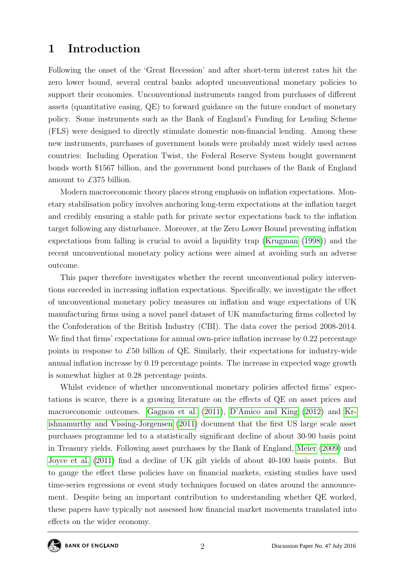## 1 Introduction

Following the onset of the 'Great Recession' and after short-term interest rates hit the zero lower bound, several central banks adopted unconventional monetary policies to support their economies. Unconventional instruments ranged from purchases of different assets (quantitative easing, QE) to forward guidance on the future conduct of monetary policy. Some instruments such as the Bank of England's Funding for Lending Scheme (FLS) were designed to directly stimulate domestic non-financial lending. Among these new instruments, purchases of government bonds were probably most widely used across countries: Including Operation Twist, the Federal Reserve System bought government bonds worth \$1567 billion, and the government bond purchases of the Bank of England amount to £375 billion.

Modern macroeconomic theory places strong emphasis on inflation expectations. Monetary stabilisation policy involves anchoring long-term expectations at the inflation target and credibly ensuring a stable path for private sector expectations back to the inflation target following any disturbance. Moreover, at the Zero Lower Bound preventing inflation expectations from falling is crucial to avoid a liquidity trap [\(Krugman](#page-20-0) [\(1998\)](#page-20-0)) and the recent unconventional monetary policy actions were aimed at avoiding such an adverse outcome.

This paper therefore investigates whether the recent unconventional policy interventions succeeded in increasing inflation expectations. Specifically, we investigate the effect of unconventional monetary policy measures on inflation and wage expectations of UK manufacturing firms using a novel panel dataset of UK manufacturing firms collected by the Confederation of the British Industry (CBI). The data cover the period 2008-2014. We find that firms' expectations for annual own-price inflation increase by 0.22 percentage points in response to  $\pounds 50$  billion of QE. Similarly, their expectations for industry-wide annual inflation increase by 0.19 percentage points. The increase in expected wage growth is somewhat higher at 0.28 percentage points.

Whilst evidence of whether unconventional monetary policies affected firms' expectations is scarce, there is a growing literature on the effects of QE on asset prices and macroeconomic outcomes. [Gagnon et al.](#page-19-0) [\(2011\)](#page-19-0), [D'Amico and King](#page-19-1) [\(2012\)](#page-19-1) and [Kr](#page-20-1)[ishnamurthy and Vissing-Jorgensen](#page-20-1) [\(2011\)](#page-20-1) document that the first US large scale asset purchases programme led to a statistically significant decline of about 30-90 basis point in Treasury yields. Following asset purchases by the Bank of England, [Meier](#page-20-2) [\(2009\)](#page-20-2) and [Joyce et al.](#page-19-2) [\(2011\)](#page-19-2) find a decline of UK gilt yields of about 40-100 basis points. But to gauge the effect these policies have on financial markets, existing studies have used time-series regressions or event study techniques focused on dates around the announcement. Despite being an important contribution to understanding whether QE worked, these papers have typically not assessed how financial market movements translated into effects on the wider economy.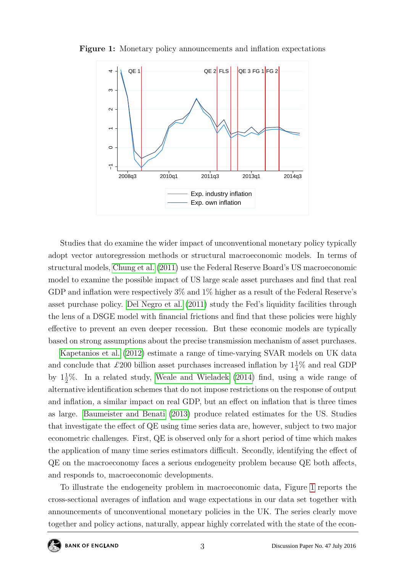

<span id="page-3-0"></span>Figure 1: Monetary policy announcements and inflation expectations

Studies that do examine the wider impact of unconventional monetary policy typically adopt vector autoregression methods or structural macroeconomic models. In terms of structural models, [Chung et al.](#page-19-3) [\(2011\)](#page-19-3) use the Federal Reserve Board's US macroeconomic model to examine the possible impact of US large scale asset purchases and find that real GDP and inflation were respectively 3% and 1% higher as a result of the Federal Reserve's asset purchase policy. [Del Negro et al.](#page-19-4) [\(2011\)](#page-19-4) study the Fed's liquidity facilities through the lens of a DSGE model with financial frictions and find that these policies were highly effective to prevent an even deeper recession. But these economic models are typically based on strong assumptions about the precise transmission mechanism of asset purchases.

[Kapetanios et al.](#page-20-3) [\(2012\)](#page-20-3) estimate a range of time-varying SVAR models on UK data and conclude that £200 billion asset purchases increased inflation by  $1\frac{1}{4}\%$  and real GDP by  $1\frac{1}{2}\%$ . In a related study, [Weale and Wieladek](#page-20-4) [\(2014\)](#page-20-4) find, using a wide range of alternative identification schemes that do not impose restrictions on the response of output and inflation, a similar impact on real GDP, but an effect on inflation that is three times as large. [Baumeister and Benati](#page-19-5) [\(2013\)](#page-19-5) produce related estimates for the US. Studies that investigate the effect of QE using time series data are, however, subject to two major econometric challenges. First, QE is observed only for a short period of time which makes the application of many time series estimators difficult. Secondly, identifying the effect of QE on the macroeconomy faces a serious endogeneity problem because QE both affects, and responds to, macroeconomic developments.

To illustrate the endogeneity problem in macroeconomic data, Figure [1](#page-3-0) reports the cross-sectional averages of inflation and wage expectations in our data set together with announcements of unconventional monetary policies in the UK. The series clearly move together and policy actions, naturally, appear highly correlated with the state of the econ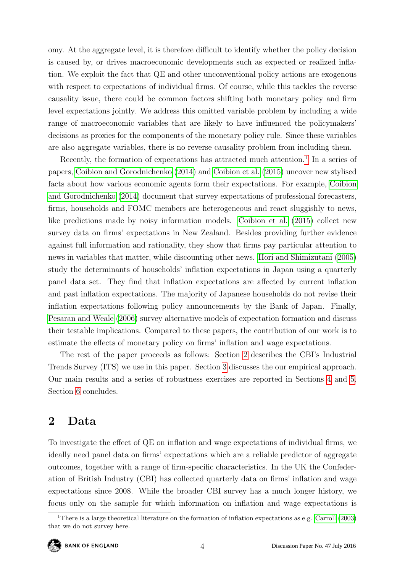omy. At the aggregate level, it is therefore difficult to identify whether the policy decision is caused by, or drives macroeconomic developments such as expected or realized inflation. We exploit the fact that QE and other unconventional policy actions are exogenous with respect to expectations of individual firms. Of course, while this tackles the reverse causality issue, there could be common factors shifting both monetary policy and firm level expectations jointly. We address this omitted variable problem by including a wide range of macroeconomic variables that are likely to have influenced the policymakers' decisions as proxies for the components of the monetary policy rule. Since these variables are also aggregate variables, there is no reverse causality problem from including them.

Recently, the formation of expectations has attracted much attention.<sup>[1](#page-4-0)</sup> In a series of papers, [Coibion and Gorodnichenko](#page-19-6) [\(2014\)](#page-19-6) and [Coibion et al.](#page-19-7) [\(2015\)](#page-19-7) uncover new stylised facts about how various economic agents form their expectations. For example, [Coibion](#page-19-6) [and Gorodnichenko](#page-19-6) [\(2014\)](#page-19-6) document that survey expectations of professional forecasters, firms, households and FOMC members are heterogeneous and react sluggishly to news, like predictions made by noisy information models. [Coibion et al.](#page-19-7) [\(2015\)](#page-19-7) collect new survey data on firms' expectations in New Zealand. Besides providing further evidence against full information and rationality, they show that firms pay particular attention to news in variables that matter, while discounting other news. [Hori and Shimizutani](#page-19-8) [\(2005\)](#page-19-8) study the determinants of households' inflation expectations in Japan using a quarterly panel data set. They find that inflation expectations are affected by current inflation and past inflation expectations. The majority of Japanese households do not revise their inflation expectations following policy announcements by the Bank of Japan. Finally, [Pesaran and Weale](#page-20-5) [\(2006\)](#page-20-5) survey alternative models of expectation formation and discuss their testable implications. Compared to these papers, the contribution of our work is to estimate the effects of monetary policy on firms' inflation and wage expectations.

The rest of the paper proceeds as follows: Section [2](#page-4-1) describes the CBI's Industrial Trends Survey (ITS) we use in this paper. Section [3](#page-10-0) discusses the our empirical approach. Our main results and a series of robustness exercises are reported in Sections [4](#page-11-0) and [5.](#page-13-0) Section [6](#page-18-0) concludes.

## <span id="page-4-1"></span>2 Data

To investigate the effect of QE on inflation and wage expectations of individual firms, we ideally need panel data on firms' expectations which are a reliable predictor of aggregate outcomes, together with a range of firm-specific characteristics. In the UK the Confederation of British Industry (CBI) has collected quarterly data on firms' inflation and wage expectations since 2008. While the broader CBI survey has a much longer history, we focus only on the sample for which information on inflation and wage expectations is

<span id="page-4-0"></span><sup>&</sup>lt;sup>1</sup>There is a large theoretical literature on the formation of inflation expectations as e.g. [Carroll](#page-19-9) [\(2003\)](#page-19-9) that we do not survey here.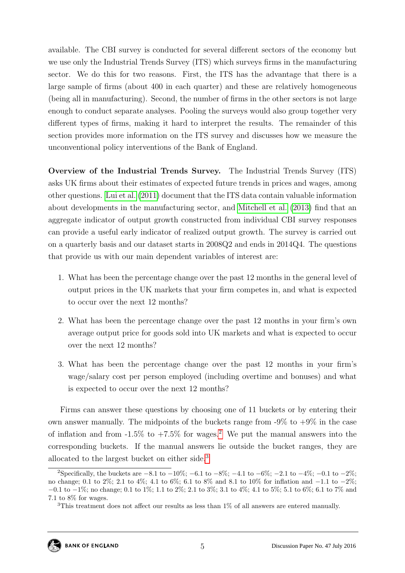available. The CBI survey is conducted for several different sectors of the economy but we use only the Industrial Trends Survey (ITS) which surveys firms in the manufacturing sector. We do this for two reasons. First, the ITS has the advantage that there is a large sample of firms (about 400 in each quarter) and these are relatively homogeneous (being all in manufacturing). Second, the number of firms in the other sectors is not large enough to conduct separate analyses. Pooling the surveys would also group together very different types of firms, making it hard to interpret the results. The remainder of this section provides more information on the ITS survey and discusses how we measure the unconventional policy interventions of the Bank of England.

Overview of the Industrial Trends Survey. The Industrial Trends Survey (ITS) asks UK firms about their estimates of expected future trends in prices and wages, among other questions. [Lui et al.](#page-20-6) [\(2011\)](#page-20-6) document that the ITS data contain valuable information about developments in the manufacturing sector, and [Mitchell et al.](#page-20-7) [\(2013\)](#page-20-7) find that an aggregate indicator of output growth constructed from individual CBI survey responses can provide a useful early indicator of realized output growth. The survey is carried out on a quarterly basis and our dataset starts in 2008Q2 and ends in 2014Q4. The questions that provide us with our main dependent variables of interest are:

- 1. What has been the percentage change over the past 12 months in the general level of output prices in the UK markets that your firm competes in, and what is expected to occur over the next 12 months?
- 2. What has been the percentage change over the past 12 months in your firm's own average output price for goods sold into UK markets and what is expected to occur over the next 12 months?
- 3. What has been the percentage change over the past 12 months in your firm's wage/salary cost per person employed (including overtime and bonuses) and what is expected to occur over the next 12 months?

Firms can answer these questions by choosing one of 11 buckets or by entering their own answer manually. The midpoints of the buckets range from  $-9\%$  to  $+9\%$  in the case of inflation and from  $-1.5\%$  to  $+7.5\%$  for wages.<sup>[2](#page-5-0)</sup> We put the manual answers into the corresponding buckets. If the manual answers lie outside the bucket ranges, they are allocated to the largest bucket on either side.[3](#page-5-1)

<span id="page-5-0"></span><sup>&</sup>lt;sup>2</sup>Specifically, the buckets are  $-8.1$  to  $-10\%$ ;  $-6.1$  to  $-8\%$ ;  $-4.1$  to  $-6\%$ ;  $-2.1$  to  $-4\%$ ;  $-0.1$  to  $-2\%$ ; no change; 0.1 to 2%; 2.1 to 4%; 4.1 to 6%; 6.1 to 8% and 8.1 to 10% for inflation and −1.1 to −2%; −0.1 to −1%; no change; 0.1 to 1%; 1.1 to 2%; 2.1 to 3%; 3.1 to 4%; 4.1 to 5%; 5.1 to 6%; 6.1 to 7% and 7.1 to 8% for wages.

<span id="page-5-1"></span><sup>3</sup>This treatment does not affect our results as less than 1% of all answers are entered manually.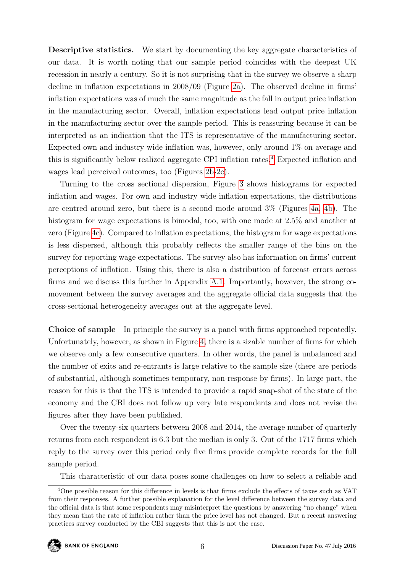Descriptive statistics. We start by documenting the key aggregate characteristics of our data. It is worth noting that our sample period coincides with the deepest UK recession in nearly a century. So it is not surprising that in the survey we observe a sharp decline in inflation expectations in 2008/09 (Figure [2a\)](#page-7-0). The observed decline in firms' inflation expectations was of much the same magnitude as the fall in output price inflation in the manufacturing sector. Overall, inflation expectations lead output price inflation in the manufacturing sector over the sample period. This is reassuring because it can be interpreted as an indication that the ITS is representative of the manufacturing sector. Expected own and industry wide inflation was, however, only around 1% on average and this is significantly below realized aggregate CPI inflation rates.[4](#page-6-0) Expected inflation and wages lead perceived outcomes, too (Figures [2b-2c\)](#page-7-0).

Turning to the cross sectional dispersion, Figure [3](#page-7-0) shows histograms for expected inflation and wages. For own and industry wide inflation expectations, the distributions are centred around zero, but there is a second mode around 3% (Figures [4a, 4b\)](#page-7-0). The histogram for wage expectations is bimodal, too, with one mode at 2.5% and another at zero (Figure [4c\)](#page-7-0). Compared to inflation expectations, the histogram for wage expectations is less dispersed, although this probably reflects the smaller range of the bins on the survey for reporting wage expectations. The survey also has information on firms' current perceptions of inflation. Using this, there is also a distribution of forecast errors across firms and we discuss this further in Appendix [A.1.](#page-21-0) Importantly, however, the strong comovement between the survey averages and the aggregate official data suggests that the cross-sectional heterogeneity averages out at the aggregate level.

Choice of sample In principle the survey is a panel with firms approached repeatedly. Unfortunately, however, as shown in Figure [4,](#page-8-0) there is a sizable number of firms for which we observe only a few consecutive quarters. In other words, the panel is unbalanced and the number of exits and re-entrants is large relative to the sample size (there are periods of substantial, although sometimes temporary, non-response by firms). In large part, the reason for this is that the ITS is intended to provide a rapid snap-shot of the state of the economy and the CBI does not follow up very late respondents and does not revise the figures after they have been published.

Over the twenty-six quarters between 2008 and 2014, the average number of quarterly returns from each respondent is 6.3 but the median is only 3. Out of the 1717 firms which reply to the survey over this period only five firms provide complete records for the full sample period.

<span id="page-6-0"></span>This characteristic of our data poses some challenges on how to select a reliable and

<sup>4</sup>One possible reason for this difference in levels is that firms exclude the effects of taxes such as VAT from their responses. A further possible explanation for the level difference between the survey data and the official data is that some respondents may misinterpret the questions by answering "no change" when they mean that the rate of inflation rather than the price level has not changed. But a recent answering practices survey conducted by the CBI suggests that this is not the case.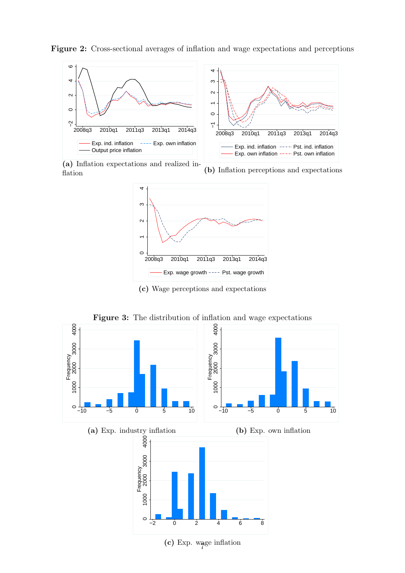

<span id="page-7-0"></span>Figure 2: Cross-sectional averages of inflation and wage expectations and perceptions

(a) Inflation expectations and realized inflation

(b) Inflation perceptions and expectations



(c) Wage perceptions and expectations



Figure 3: The distribution of inflation and wage expectations

 $(c)$  Exp. wage inflation

−2 0 2 4 6 8

 $\circ$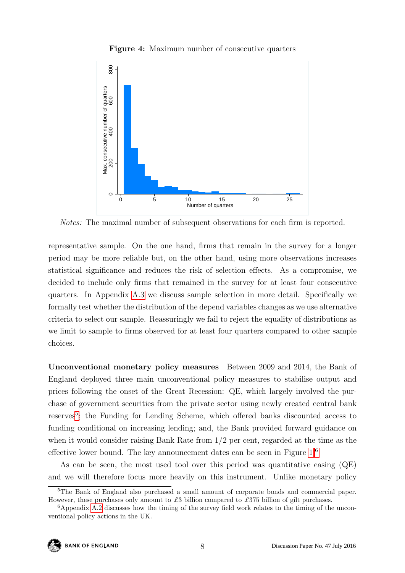<span id="page-8-0"></span>

Figure 4: Maximum number of consecutive quarters

Notes: The maximal number of subsequent observations for each firm is reported.

representative sample. On the one hand, firms that remain in the survey for a longer period may be more reliable but, on the other hand, using more observations increases statistical significance and reduces the risk of selection effects. As a compromise, we decided to include only firms that remained in the survey for at least four consecutive quarters. In Appendix [A.3](#page-22-0) we discuss sample selection in more detail. Specifically we formally test whether the distribution of the depend variables changes as we use alternative criteria to select our sample. Reassuringly we fail to reject the equality of distributions as we limit to sample to firms observed for at least four quarters compared to other sample choices.

Unconventional monetary policy measures Between 2009 and 2014, the Bank of England deployed three main unconventional policy measures to stabilise output and prices following the onset of the Great Recession: QE, which largely involved the purchase of government securities from the private sector using newly created central bank reserves<sup>[5](#page-8-1)</sup>; the Funding for Lending Scheme, which offered banks discounted access to funding conditional on increasing lending; and, the Bank provided forward guidance on when it would consider raising Bank Rate from 1/2 per cent, regarded at the time as the effective lower bound. The key announcement dates can be seen in Figure [1.](#page-3-0)[6](#page-8-2)

As can be seen, the most used tool over this period was quantitative easing (QE) and we will therefore focus more heavily on this instrument. Unlike monetary policy

<span id="page-8-1"></span><sup>&</sup>lt;sup>5</sup>The Bank of England also purchased a small amount of corporate bonds and commercial paper. However, these purchases only amount to £3 billion compared to £375 billion of gilt purchases.

<span id="page-8-2"></span> $6A$ ppendix [A.2](#page-21-1) discusses how the timing of the survey field work relates to the timing of the unconventional policy actions in the UK.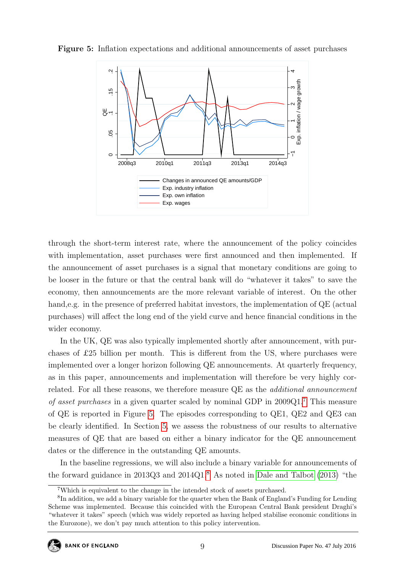

<span id="page-9-1"></span>Figure 5: Inflation expectations and additional announcements of asset purchases

through the short-term interest rate, where the announcement of the policy coincides with implementation, asset purchases were first announced and then implemented. If the announcement of asset purchases is a signal that monetary conditions are going to be looser in the future or that the central bank will do "whatever it takes" to save the economy, then announcements are the more relevant variable of interest. On the other hand,e.g. in the presence of preferred habitat investors, the implementation of QE (actual purchases) will affect the long end of the yield curve and hence financial conditions in the wider economy.

In the UK, QE was also typically implemented shortly after announcement, with purchases of £25 billion per month. This is different from the US, where purchases were implemented over a longer horizon following QE announcements. At quarterly frequency, as in this paper, announcements and implementation will therefore be very highly correlated. For all these reasons, we therefore measure QE as the additional announcement of asset purchases in a given quarter scaled by nominal GDP in 2009Q1.[7](#page-9-0) This measure of QE is reported in Figure [5.](#page-9-1) The episodes corresponding to QE1, QE2 and QE3 can be clearly identified. In Section [5,](#page-13-0) we assess the robustness of our results to alternative measures of QE that are based on either a binary indicator for the QE announcement dates or the difference in the outstanding QE amounts.

In the baseline regressions, we will also include a binary variable for announcements of the forward guidance in 2013Q3 and 2014Q1.[8](#page-9-2) As noted in [Dale and Talbot](#page-19-10) [\(2013\)](#page-19-10) "the

<span id="page-9-2"></span><span id="page-9-0"></span><sup>7</sup>Which is equivalent to the change in the intended stock of assets purchased.

<sup>&</sup>lt;sup>8</sup>In addition, we add a binary variable for the quarter when the Bank of England's Funding for Lending Scheme was implemented. Because this coincided with the European Central Bank president Draghi's "whatever it takes" speech (which was widely reported as having helped stabilise economic conditions in the Eurozone), we don't pay much attention to this policy intervention.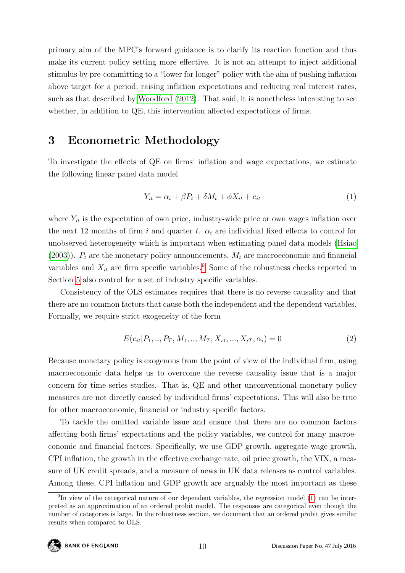primary aim of the MPC's forward guidance is to clarify its reaction function and thus make its current policy setting more effective. It is not an attempt to inject additional stimulus by pre-committing to a "lower for longer" policy with the aim of pushing inflation above target for a period; raising inflation expectations and reducing real interest rates, such as that described by [Woodford](#page-20-8) [\(2012\)](#page-20-8). That said, it is nonetheless interesting to see whether, in addition to QE, this intervention affected expectations of firms.

## <span id="page-10-0"></span>3 Econometric Methodology

To investigate the effects of QE on firms' inflation and wage expectations, we estimate the following linear panel data model

<span id="page-10-2"></span>
$$
Y_{it} = \alpha_i + \beta P_t + \delta M_t + \phi X_{it} + e_{it}
$$
\n<sup>(1)</sup>

where  $Y_{it}$  is the expectation of own price, industry-wide price or own wages inflation over the next 12 months of firm i and quarter t.  $\alpha_i$  are individual fixed effects to control for unobserved heterogeneity which is important when estimating panel data models [\(Hsiao](#page-19-11)  $(2003)$ ).  $P_t$  are the monetary policy announcements,  $M_t$  are macroeconomic and financial variables and  $X_{it}$  are firm specific variables.<sup>[9](#page-10-1)</sup> Some of the robustness checks reported in Section [5](#page-13-0) also control for a set of industry specific variables.

Consistency of the OLS estimates requires that there is no reverse causality and that there are no common factors that cause both the independent and the dependent variables. Formally, we require strict exogeneity of the form

$$
E(e_{it}|P_1, ..., P_T, M_1, ..., M_T, X_{i1}, ..., X_{iT}, \alpha_i) = 0
$$
\n(2)

Because monetary policy is exogenous from the point of view of the individual firm, using macroeconomic data helps us to overcome the reverse causality issue that is a major concern for time series studies. That is, QE and other unconventional monetary policy measures are not directly caused by individual firms' expectations. This will also be true for other macroeconomic, financial or industry specific factors.

To tackle the omitted variable issue and ensure that there are no common factors affecting both firms' expectations and the policy variables, we control for many macroeconomic and financial factors. Specifically, we use GDP growth, aggregate wage growth, CPI inflation, the growth in the effective exchange rate, oil price growth, the VIX, a measure of UK credit spreads, and a measure of news in UK data releases as control variables. Among these, CPI inflation and GDP growth are arguably the most important as these

<span id="page-10-1"></span><sup>&</sup>lt;sup>9</sup>In view of the categorical nature of our dependent variables, the regression model [\(1\)](#page-10-2) can be interpreted as an approximation of an ordered probit model. The responses are categorical even though the number of categories is large. In the robustness section, we document that an ordered probit gives similar results when compared to OLS.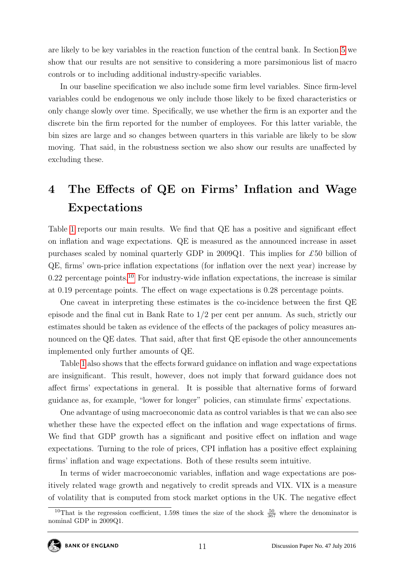are likely to be key variables in the reaction function of the central bank. In Section [5](#page-13-0) we show that our results are not sensitive to considering a more parsimonious list of macro controls or to including additional industry-specific variables.

In our baseline specification we also include some firm level variables. Since firm-level variables could be endogenous we only include those likely to be fixed characteristics or only change slowly over time. Specifically, we use whether the firm is an exporter and the discrete bin the firm reported for the number of employees. For this latter variable, the bin sizes are large and so changes between quarters in this variable are likely to be slow moving. That said, in the robustness section we also show our results are unaffected by excluding these.

## <span id="page-11-0"></span>4 The Effects of QE on Firms' Inflation and Wage Expectations

Table [1](#page-12-0) reports our main results. We find that QE has a positive and significant effect on inflation and wage expectations. QE is measured as the announced increase in asset purchases scaled by nominal quarterly GDP in 2009Q1. This implies for  $\pounds 50$  billion of QE, firms' own-price inflation expectations (for inflation over the next year) increase by  $0.22$  percentage points.<sup>[10](#page-11-1)</sup> For industry-wide inflation expectations, the increase is similar at 0.19 percentage points. The effect on wage expectations is 0.28 percentage points.

One caveat in interpreting these estimates is the co-incidence between the first QE episode and the final cut in Bank Rate to 1/2 per cent per annum. As such, strictly our estimates should be taken as evidence of the effects of the packages of policy measures announced on the QE dates. That said, after that first QE episode the other announcements implemented only further amounts of QE.

Table [1](#page-12-0) also shows that the effects forward guidance on inflation and wage expectations are insignificant. This result, however, does not imply that forward guidance does not affect firms' expectations in general. It is possible that alternative forms of forward guidance as, for example, "lower for longer" policies, can stimulate firms' expectations.

One advantage of using macroeconomic data as control variables is that we can also see whether these have the expected effect on the inflation and wage expectations of firms. We find that GDP growth has a significant and positive effect on inflation and wage expectations. Turning to the role of prices, CPI inflation has a positive effect explaining firms' inflation and wage expectations. Both of these results seem intuitive.

In terms of wider macroeconomic variables, inflation and wage expectations are positively related wage growth and negatively to credit spreads and VIX. VIX is a measure of volatility that is computed from stock market options in the UK. The negative effect

<span id="page-11-1"></span><sup>&</sup>lt;sup>10</sup>That is the regression coefficient, 1.598 times the size of the shock  $\frac{50}{367}$  where the denominator is nominal GDP in 2009Q1.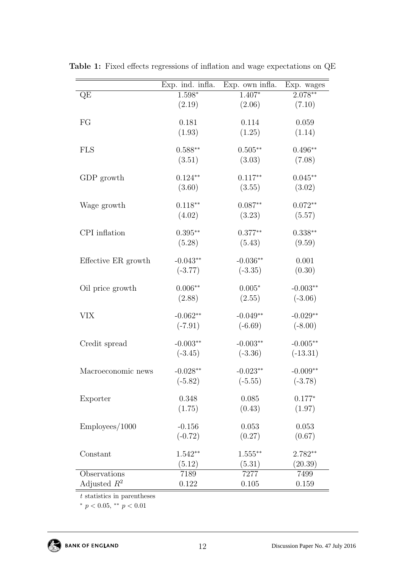|                     | Exp. ind. infla. | Exp. own infla. | Exp. wages |
|---------------------|------------------|-----------------|------------|
| QE                  | $1.598*$         | $1.407*$        | $2.078**$  |
|                     | (2.19)           | (2.06)          | (7.10)     |
| FG                  | 0.181            | 0.114           | 0.059      |
|                     | (1.93)           | (1.25)          | (1.14)     |
|                     |                  |                 |            |
| <b>FLS</b>          | $0.588**$        | $0.505**$       | $0.496**$  |
|                     | (3.51)           | (3.03)          | (7.08)     |
|                     | $0.124**$        |                 | $0.045**$  |
| GDP growth          |                  | $0.117**$       |            |
|                     | (3.60)           | (3.55)          | (3.02)     |
| Wage growth         | $0.118**$        | $0.087**$       | $0.072**$  |
|                     | (4.02)           | (3.23)          | (5.57)     |
|                     |                  |                 |            |
| CPI inflation       | $0.395**$        | $0.377**$       | $0.338**$  |
|                     | (5.28)           | (5.43)          | (9.59)     |
| Effective ER growth | $-0.043**$       | $-0.036**$      | 0.001      |
|                     | $(-3.77)$        | $(-3.35)$       | (0.30)     |
|                     |                  |                 |            |
| Oil price growth    | $0.006**$        | $0.005*$        | $-0.003**$ |
|                     | (2.88)           | (2.55)          | $(-3.06)$  |
| VIX                 | $-0.062**$       | $-0.049**$      | $-0.029**$ |
|                     | $(-7.91)$        | $(-6.69)$       | $(-8.00)$  |
|                     |                  |                 |            |
| Credit spread       | $-0.003**$       | $-0.003**$      | $-0.005**$ |
|                     | $(-3.45)$        | $(-3.36)$       | $(-13.31)$ |
| Macroeconomic news  | $-0.028**$       | $-0.023**$      | $-0.009**$ |
|                     | $(-5.82)$        | $(-5.55)$       | $(-3.78)$  |
|                     |                  |                 |            |
| Exporter            | 0.348            | 0.085           | $0.177*$   |
|                     | (1.75)           | (0.43)          | (1.97)     |
|                     |                  |                 |            |
| Employees/1000      | $-0.156$         | 0.053           | 0.053      |
|                     | $(-0.72)$        | (0.27)          | (0.67)     |
| Constant            | $1.542**$        | $1.555***$      | $2.782**$  |
|                     | (5.12)           | (5.31)          | (20.39)    |
| Observations        | 7189             | 7277            | 7499       |
| Adjusted $R^2$      | 0.122            | 0.105           | 0.159      |

<span id="page-12-0"></span>Table 1: Fixed effects regressions of inflation and wage expectations on QE

 $t$  statistics in parentheses

\*  $p < 0.05$ , \*\*  $p < 0.01$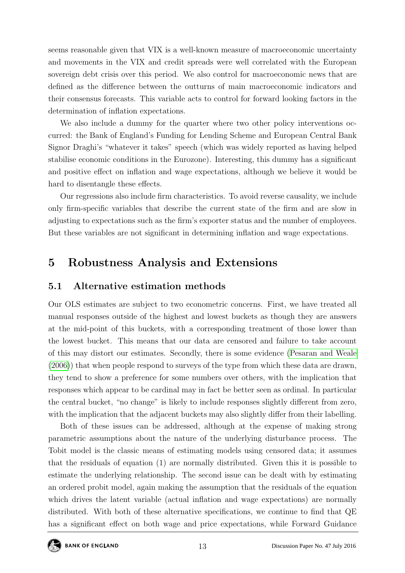seems reasonable given that VIX is a well-known measure of macroeconomic uncertainty and movements in the VIX and credit spreads were well correlated with the European sovereign debt crisis over this period. We also control for macroeconomic news that are defined as the difference between the outturns of main macroeconomic indicators and their consensus forecasts. This variable acts to control for forward looking factors in the determination of inflation expectations.

We also include a dummy for the quarter where two other policy interventions occurred: the Bank of England's Funding for Lending Scheme and European Central Bank Signor Draghi's "whatever it takes" speech (which was widely reported as having helped stabilise economic conditions in the Eurozone). Interesting, this dummy has a significant and positive effect on inflation and wage expectations, although we believe it would be hard to disentangle these effects.

Our regressions also include firm characteristics. To avoid reverse causality, we include only firm-specific variables that describe the current state of the firm and are slow in adjusting to expectations such as the firm's exporter status and the number of employees. But these variables are not significant in determining inflation and wage expectations.

## <span id="page-13-0"></span>5 Robustness Analysis and Extensions

#### 5.1 Alternative estimation methods

Our OLS estimates are subject to two econometric concerns. First, we have treated all manual responses outside of the highest and lowest buckets as though they are answers at the mid-point of this buckets, with a corresponding treatment of those lower than the lowest bucket. This means that our data are censored and failure to take account of this may distort our estimates. Secondly, there is some evidence [\(Pesaran and Weale](#page-20-5) [\(2006\)](#page-20-5)) that when people respond to surveys of the type from which these data are drawn, they tend to show a preference for some numbers over others, with the implication that responses which appear to be cardinal may in fact be better seen as ordinal. In particular the central bucket, "no change" is likely to include responses slightly different from zero, with the implication that the adjacent buckets may also slightly differ from their labelling.

Both of these issues can be addressed, although at the expense of making strong parametric assumptions about the nature of the underlying disturbance process. The Tobit model is the classic means of estimating models using censored data; it assumes that the residuals of equation (1) are normally distributed. Given this it is possible to estimate the underlying relationship. The second issue can be dealt with by estimating an ordered probit model, again making the assumption that the residuals of the equation which drives the latent variable (actual inflation and wage expectations) are normally distributed. With both of these alternative specifications, we continue to find that QE has a significant effect on both wage and price expectations, while Forward Guidance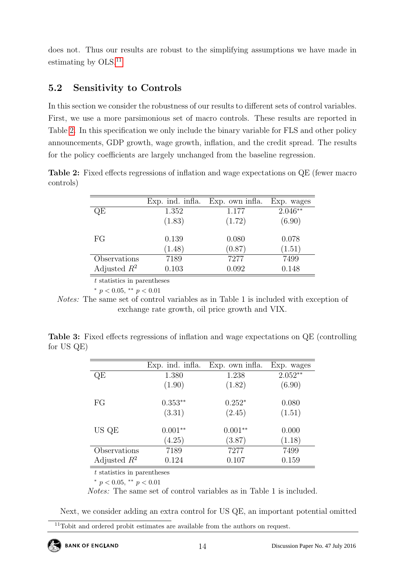does not. Thus our results are robust to the simplifying assumptions we have made in estimating by OLS.<sup>[11](#page-14-0)</sup>

### 5.2 Sensitivity to Controls

In this section we consider the robustness of our results to different sets of control variables. First, we use a more parsimonious set of macro controls. These results are reported in Table [2.](#page-14-1) In this specification we only include the binary variable for FLS and other policy announcements, GDP growth, wage growth, inflation, and the credit spread. The results for the policy coefficients are largely unchanged from the baseline regression.

<span id="page-14-1"></span>Table 2: Fixed effects regressions of inflation and wage expectations on QE (fewer macro controls)

|                | Exp. ind. infla. | Exp. own infla. | Exp. wages |
|----------------|------------------|-----------------|------------|
| QE             | 1.352            | 1.177           | $2.046**$  |
|                | (1.83)           | (1.72)          | (6.90)     |
| FG             | 0.139            | 0.080           | 0.078      |
|                | (1.48)           | (0.87)          | (1.51)     |
| Observations   | 7189             | 7277            | 7499       |
| Adjusted $R^2$ | 0.103            | 0.092           | 0.148      |
|                |                  |                 |            |

t statistics in parentheses

\*  $p < 0.05$ , \*\*  $p < 0.01$ 

Notes: The same set of control variables as in Table 1 is included with exception of exchange rate growth, oil price growth and VIX.

<span id="page-14-2"></span>

|                 |  | <b>Table 3:</b> Fixed effects regressions of inflation and wage expectations on QE (controlling |  |  |  |  |  |
|-----------------|--|-------------------------------------------------------------------------------------------------|--|--|--|--|--|
| for $US$ $QE$ ) |  |                                                                                                 |  |  |  |  |  |

|                | Exp. ind. infla. | Exp. own infla. | Exp. wages |
|----------------|------------------|-----------------|------------|
| QE             | 1.380            | 1.238           | $2.052**$  |
|                | (1.90)           | (1.82)          | (6.90)     |
| FG             | $0.353**$        | $0.252*$        | 0.080      |
|                | (3.31)           | (2.45)          | (1.51)     |
| US QE          | $0.001**$        | $0.001**$       | 0.000      |
|                | (4.25)           | (3.87)          | (1.18)     |
| Observations   | 7189             | 7277            | 7499       |
| Adjusted $R^2$ | 0.124            | 0.107           | 0.159      |

 $t$  statistics in parentheses

\*  $p < 0.05$ , \*\*  $p < 0.01$ 

Notes: The same set of control variables as in Table 1 is included.

Next, we consider adding an extra control for US QE, an important potential omitted

**BANK OF ENGLAND** 

<span id="page-14-0"></span><sup>&</sup>lt;sup>11</sup>Tobit and ordered probit estimates are available from the authors on request.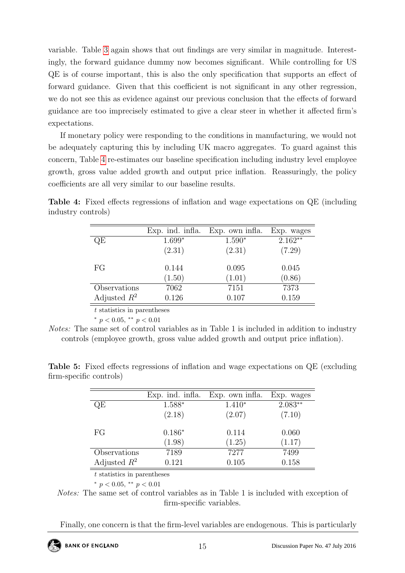variable. Table [3](#page-14-2) again shows that out findings are very similar in magnitude. Interestingly, the forward guidance dummy now becomes significant. While controlling for US QE is of course important, this is also the only specification that supports an effect of forward guidance. Given that this coefficient is not significant in any other regression, we do not see this as evidence against our previous conclusion that the effects of forward guidance are too imprecisely estimated to give a clear steer in whether it affected firm's expectations.

If monetary policy were responding to the conditions in manufacturing, we would not be adequately capturing this by including UK macro aggregates. To guard against this concern, Table [4](#page-15-0) re-estimates our baseline specification including industry level employee growth, gross value added growth and output price inflation. Reassuringly, the policy coefficients are all very similar to our baseline results.

|                | Exp. ind. infla. | Exp. own infla. | Exp. wages |
|----------------|------------------|-----------------|------------|
| QE             | $1.699*$         | $1.590*$        | $2.162**$  |
|                | (2.31)           | (2.31)          | (7.29)     |
| FG             | 0.144            | 0.095           | 0.045      |
|                | (1.50)           | (1.01)          | (0.86)     |
| Observations   | 7062             | 7151            | 7373       |
| Adjusted $R^2$ | 0.126            | 0.107           | 0.159      |

<span id="page-15-0"></span>Table 4: Fixed effects regressions of inflation and wage expectations on QE (including industry controls)

t statistics in parentheses

\*  $p < 0.05$ , \*\*  $p < 0.01$ 

Notes: The same set of control variables as in Table 1 is included in addition to industry controls (employee growth, gross value added growth and output price inflation).

<span id="page-15-1"></span>Table 5: Fixed effects regressions of inflation and wage expectations on QE (excluding firm-specific controls)

|                | Exp. ind. infla. | Exp. own infla. | Exp. wages |
|----------------|------------------|-----------------|------------|
| QE             | 1.588*           | $1.410*$        | $2.083**$  |
|                | (2.18)           | (2.07)          | (7.10)     |
| FG             | $0.186*$         | 0.114           | 0.060      |
|                | (1.98)           | (1.25)          | (1.17)     |
| Observations   | 7189             | 7277            | 7499       |
| Adjusted $R^2$ | 0.121            | 0.105           | 0.158      |

t statistics in parentheses

\*  $p < 0.05$ , \*\*  $p < 0.01$ 

Notes: The same set of control variables as in Table 1 is included with exception of firm-specific variables.

Finally, one concern is that the firm-level variables are endogenous. This is particularly

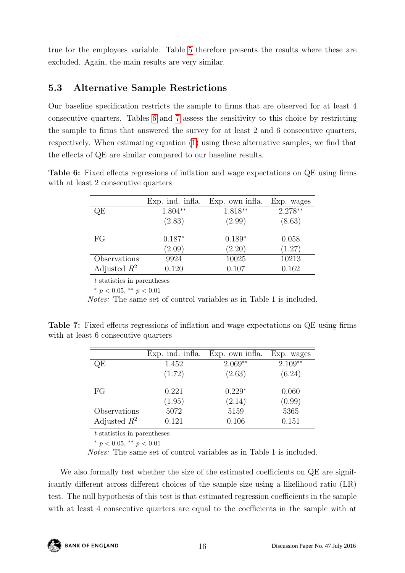true for the employees variable. Table [5](#page-15-1) therefore presents the results where these are excluded. Again, the main results are very similar.

## 5.3 Alternative Sample Restrictions

Our baseline specification restricts the sample to firms that are observed for at least 4 consecutive quarters. Tables [6](#page-16-0) and [7](#page-16-1) assess the sensitivity to this choice by restricting the sample to firms that answered the survey for at least 2 and 6 consecutive quarters, respectively. When estimating equation [\(1\)](#page-10-2) using these alternative samples, we find that the effects of QE are similar compared to our baseline results.

<span id="page-16-0"></span>Table 6: Fixed effects regressions of inflation and wage expectations on QE using firms with at least 2 consecutive quarters

|                | Exp. ind. infla. | Exp. own infla. | Exp. wages |
|----------------|------------------|-----------------|------------|
| QE             | 1.804**          | $1.818**$       | $2.278**$  |
|                | (2.83)           | (2.99)          | (8.63)     |
| FG             | $0.187*$         | $0.189*$        | 0.058      |
|                | (2.09)           | (2.20)          | (1.27)     |
| Observations   | 9924             | 10025           | 10213      |
| Adjusted $R^2$ | 0.120            | 0.107           | 0.162      |
|                |                  |                 |            |

t statistics in parentheses

\*  $p < 0.05$ , \*\*  $p < 0.01$ 

Notes: The same set of control variables as in Table 1 is included.

<span id="page-16-1"></span>Table 7: Fixed effects regressions of inflation and wage expectations on QE using firms with at least 6 consecutive quarters

| Exp. ind. infla. | Exp. own infla. | Exp. wages |
|------------------|-----------------|------------|
| 1.452            | $2.069**$       | $2.109**$  |
| (1.72)           | (2.63)          | (6.24)     |
| 0.221            | $0.229*$        | 0.060      |
| (1.95)           | (2.14)          | (0.99)     |
| 5072             | 5159            | 5365       |
| 0.121            | 0.106           | 0.151      |
|                  |                 |            |

t statistics in parentheses

\*  $p < 0.05$ , \*\*  $p < 0.01$ 

Notes: The same set of control variables as in Table 1 is included.

We also formally test whether the size of the estimated coefficients on  $QE$  are significantly different across different choices of the sample size using a likelihood ratio (LR) test. The null hypothesis of this test is that estimated regression coefficients in the sample with at least 4 consecutive quarters are equal to the coefficients in the sample with at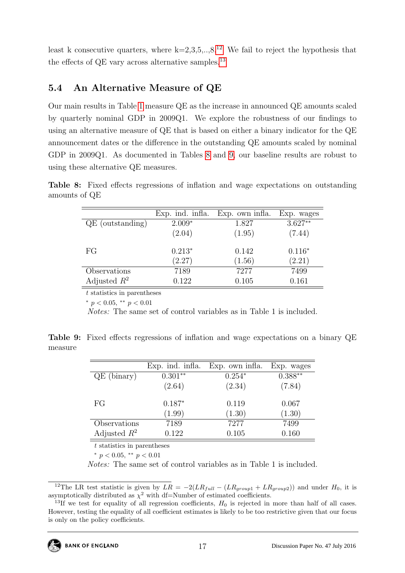least k consecutive quarters, where  $k=2,3,5,..,8$ .<sup>[12](#page-17-0)</sup> We fail to reject the hypothesis that the effects of QE vary across alternative samples.<sup>[13](#page-17-1)</sup>

#### 5.4 An Alternative Measure of QE

Our main results in Table [1](#page-12-0) measure QE as the increase in announced QE amounts scaled by quarterly nominal GDP in 2009Q1. We explore the robustness of our findings to using an alternative measure of QE that is based on either a binary indicator for the QE announcement dates or the difference in the outstanding QE amounts scaled by nominal GDP in 2009Q1. As documented in Tables [8](#page-17-2) and [9,](#page-17-3) our baseline results are robust to using these alternative QE measures.

<span id="page-17-2"></span>Table 8: Fixed effects regressions of inflation and wage expectations on outstanding amounts of QE

|                    | Exp. ind. infla. | Exp. own infla. | Exp. wages |
|--------------------|------------------|-----------------|------------|
| $QE$ (outstanding) | $2.009*$         | 1.827           | $3.627**$  |
|                    | (2.04)           | (1.95)          | (7.44)     |
| FG                 | $0.213*$         | 0.142           | $0.116*$   |
|                    | (2.27)           | (1.56)          | (2.21)     |
| Observations       | 7189             | 7277            | 7499       |
| Adjusted $R^2$     | 0.122            | 0.105           | 0.161      |

t statistics in parentheses

\*  $p < 0.05$ , \*\*  $p < 0.01$ 

Notes: The same set of control variables as in Table 1 is included.

<span id="page-17-3"></span>Table 9: Fixed effects regressions of inflation and wage expectations on a binary QE measure

|                | Exp. ind. infla. | Exp. own infla. | Exp. wages |
|----------------|------------------|-----------------|------------|
| $QE$ (binary)  | $0.301**$        | $0.254*$        | $0.388**$  |
|                | (2.64)           | (2.34)          | (7.84)     |
| FG             | $0.187*$         | 0.119           | 0.067      |
|                | (1.99)           | (1.30)          | (1.30)     |
| Observations   | 7189             | 7277            | 7499       |
| Adjusted $R^2$ | 0.122            | 0.105           | 0.160      |

 $t$  statistics in parentheses

\*  $p < 0.05$ , \*\*  $p < 0.01$ 

Notes: The same set of control variables as in Table 1 is included.

<span id="page-17-0"></span><sup>&</sup>lt;sup>12</sup>The LR test statistic is given by  $LR = -2(LR_{full} - (LR_{group1} + LR_{group2}))$  and under  $H_0$ , it is asymptotically distributed as  $\chi^2$  with df=Number of estimated coefficients.

<span id="page-17-1"></span><sup>&</sup>lt;sup>13</sup>If we test for equality of all regression coefficients,  $H_0$  is rejected in more than half of all cases. However, testing the equality of all coefficient estimates is likely to be too restrictive given that our focus is only on the policy coefficients.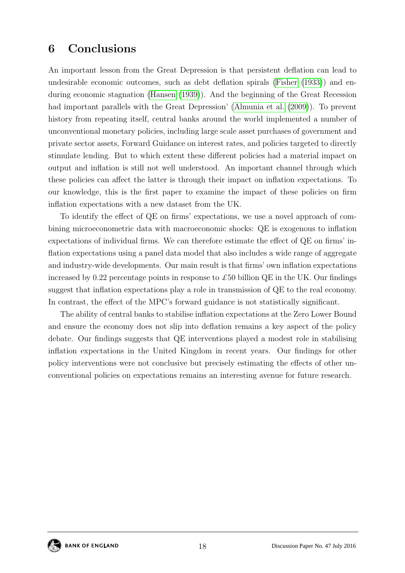## <span id="page-18-0"></span>6 Conclusions

An important lesson from the Great Depression is that persistent deflation can lead to undesirable economic outcomes, such as debt deflation spirals [\(Fisher](#page-19-12) [\(1933\)](#page-19-12)) and enduring economic stagnation [\(Hansen](#page-19-13) [\(1939\)](#page-19-13)). And the beginning of the Great Recession had important parallels with the Great Depression' [\(Almunia et al.](#page-19-14) [\(2009\)](#page-19-14)). To prevent history from repeating itself, central banks around the world implemented a number of unconventional monetary policies, including large scale asset purchases of government and private sector assets, Forward Guidance on interest rates, and policies targeted to directly stimulate lending. But to which extent these different policies had a material impact on output and inflation is still not well understood. An important channel through which these policies can affect the latter is through their impact on inflation expectations. To our knowledge, this is the first paper to examine the impact of these policies on firm inflation expectations with a new dataset from the UK.

To identify the effect of QE on firms' expectations, we use a novel approach of combining microeconometric data with macroeconomic shocks: QE is exogenous to inflation expectations of individual firms. We can therefore estimate the effect of QE on firms' inflation expectations using a panel data model that also includes a wide range of aggregate and industry-wide developments. Our main result is that firms' own inflation expectations increased by 0.22 percentage points in response to  $\pounds 50$  billion QE in the UK. Our findings suggest that inflation expectations play a role in transmission of QE to the real economy. In contrast, the effect of the MPC's forward guidance is not statistically significant.

The ability of central banks to stabilise inflation expectations at the Zero Lower Bound and ensure the economy does not slip into deflation remains a key aspect of the policy debate. Our findings suggests that QE interventions played a modest role in stabilising inflation expectations in the United Kingdom in recent years. Our findings for other policy interventions were not conclusive but precisely estimating the effects of other unconventional policies on expectations remains an interesting avenue for future research.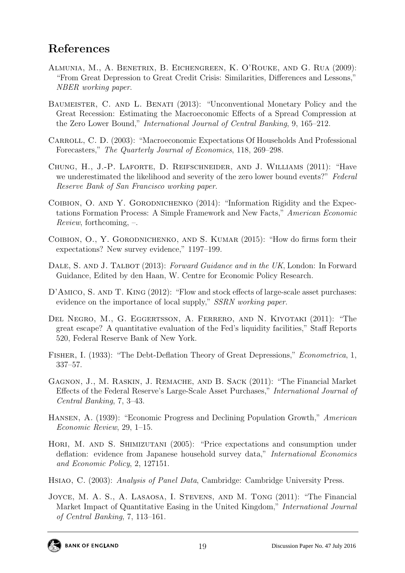## References

- <span id="page-19-14"></span>Almunia, M., A. Benetrix, B. Eichengreen, K. O'Rouke, and G. Rua (2009): "From Great Depression to Great Credit Crisis: Similarities, Differences and Lessons," NBER working paper.
- <span id="page-19-5"></span>BAUMEISTER, C. AND L. BENATI (2013): "Unconventional Monetary Policy and the Great Recession: Estimating the Macroeconomic Effects of a Spread Compression at the Zero Lower Bound," International Journal of Central Banking, 9, 165–212.
- <span id="page-19-9"></span>CARROLL, C. D. (2003): "Macroeconomic Expectations Of Households And Professional Forecasters," The Quarterly Journal of Economics, 118, 269–298.
- <span id="page-19-3"></span>Chung, H., J.-P. Laforte, D. Reifschneider, and J. Williams (2011): "Have we underestimated the likelihood and severity of the zero lower bound events?" Federal Reserve Bank of San Francisco working paper.
- <span id="page-19-6"></span>COIBION, O. AND Y. GORODNICHENKO (2014): "Information Rigidity and the Expectations Formation Process: A Simple Framework and New Facts," American Economic Review, forthcoming, –.
- <span id="page-19-7"></span>COIBION, O., Y. GORODNICHENKO, AND S. KUMAR (2015): "How do firms form their expectations? New survey evidence," 1197–199.
- <span id="page-19-10"></span>DALE, S. AND J. TALBOT (2013): Forward Guidance and in the UK, London: In Forward Guidance, Edited by den Haan, W. Centre for Economic Policy Research.
- <span id="page-19-1"></span>D'AMICO, S. AND T. KING (2012): "Flow and stock effects of large-scale asset purchases: evidence on the importance of local supply," SSRN working paper.
- <span id="page-19-4"></span>Del Negro, M., G. Eggertsson, A. Ferrero, and N. Kiyotaki (2011): "The great escape? A quantitative evaluation of the Fed's liquidity facilities," Staff Reports 520, Federal Reserve Bank of New York.
- <span id="page-19-12"></span>Fisher, I. (1933): "The Debt-Deflation Theory of Great Depressions," Econometrica, 1, 337–57.
- <span id="page-19-0"></span>Gagnon, J., M. Raskin, J. Remache, and B. Sack (2011): "The Financial Market Effects of the Federal Reserve's Large-Scale Asset Purchases," International Journal of Central Banking, 7, 3–43.
- <span id="page-19-13"></span>Hansen, A. (1939): "Economic Progress and Declining Population Growth," American Economic Review, 29, 1–15.
- <span id="page-19-8"></span>HORI, M. AND S. SHIMIZUTANI (2005): "Price expectations and consumption under deflation: evidence from Japanese household survey data," International Economics and Economic Policy, 2, 127151.
- <span id="page-19-11"></span>Hsiao, C. (2003): Analysis of Panel Data, Cambridge: Cambridge University Press.
- <span id="page-19-2"></span>JOYCE, M. A. S., A. LASAOSA, I. STEVENS, AND M. TONG (2011): "The Financial Market Impact of Quantitative Easing in the United Kingdom," International Journal of Central Banking, 7, 113–161.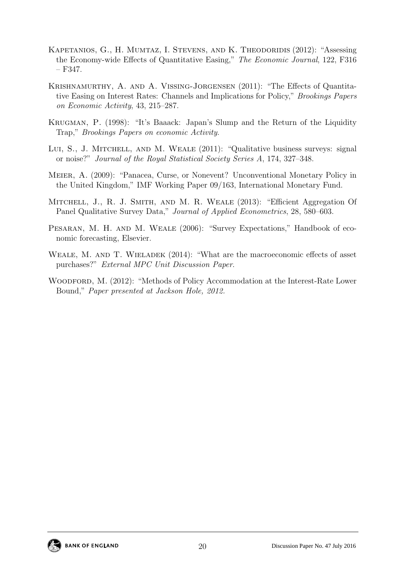- <span id="page-20-3"></span>KAPETANIOS, G., H. MUMTAZ, I. STEVENS, AND K. THEODORIDIS (2012): "Assessing the Economy-wide Effects of Quantitative Easing," The Economic Journal, 122, F316  $- F347.$
- <span id="page-20-1"></span>Krishnamurthy, A. and A. Vissing-Jorgensen (2011): "The Effects of Quantitative Easing on Interest Rates: Channels and Implications for Policy," Brookings Papers on Economic Activity, 43, 215–287.
- <span id="page-20-0"></span>Krugman, P. (1998): "It's Baaack: Japan's Slump and the Return of the Liquidity Trap," Brookings Papers on economic Activity.
- <span id="page-20-6"></span>LUI, S., J. MITCHELL, AND M. WEALE (2011): "Qualitative business surveys: signal or noise?" Journal of the Royal Statistical Society Series A, 174, 327–348.
- <span id="page-20-2"></span>Meier, A. (2009): "Panacea, Curse, or Nonevent? Unconventional Monetary Policy in the United Kingdom," IMF Working Paper 09/163, International Monetary Fund.
- <span id="page-20-7"></span>MITCHELL, J., R. J. SMITH, AND M. R. WEALE (2013): "Efficient Aggregation Of Panel Qualitative Survey Data," Journal of Applied Econometrics, 28, 580–603.
- <span id="page-20-5"></span>PESARAN, M. H. AND M. WEALE (2006): "Survey Expectations," Handbook of economic forecasting, Elsevier.
- <span id="page-20-4"></span>WEALE, M. AND T. WIELADEK (2014): "What are the macroeconomic effects of asset purchases?" External MPC Unit Discussion Paper.
- <span id="page-20-8"></span>WOODFORD, M. (2012): "Methods of Policy Accommodation at the Interest-Rate Lower Bound," Paper presented at Jackson Hole, 2012.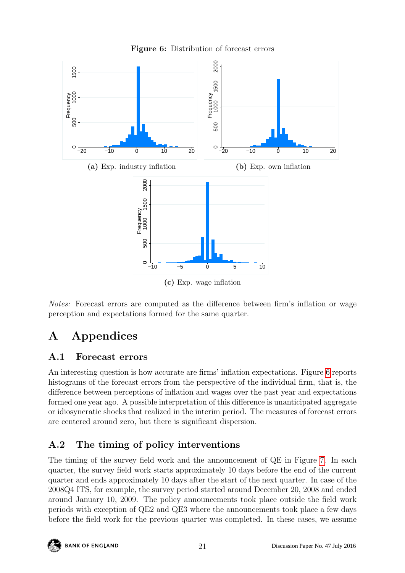<span id="page-21-2"></span>

Figure 6: Distribution of forecast errors

(c) Exp. wage inflation

Notes: Forecast errors are computed as the difference between firm's inflation or wage perception and expectations formed for the same quarter.

## A Appendices

#### <span id="page-21-0"></span>A.1 Forecast errors

An interesting question is how accurate are firms' inflation expectations. Figure [6](#page-21-2) reports histograms of the forecast errors from the perspective of the individual firm, that is, the difference between perceptions of inflation and wages over the past year and expectations formed one year ago. A possible interpretation of this difference is unanticipated aggregate or idiosyncratic shocks that realized in the interim period. The measures of forecast errors are centered around zero, but there is significant dispersion.

## <span id="page-21-1"></span>A.2 The timing of policy interventions

The timing of the survey field work and the announcement of QE in Figure [7.](#page-22-1) In each quarter, the survey field work starts approximately 10 days before the end of the current quarter and ends approximately 10 days after the start of the next quarter. In case of the 2008Q4 ITS, for example, the survey period started around December 20, 2008 and ended around January 10, 2009. The policy announcements took place outside the field work periods with exception of QE2 and QE3 where the announcements took place a few days before the field work for the previous quarter was completed. In these cases, we assume